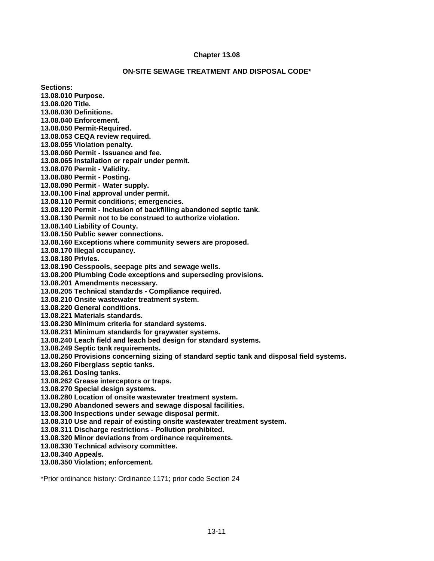## **Chapter 13.08**

### **ON-SITE SEWAGE TREATMENT AND DISPOSAL CODE\***

**Sections:** 

**13.08.010 Purpose.**

**13.08.020 Title.**

**13.08.030 Definitions.**

**13.08.040 Enforcement.**

**13.08.050 Permit-Required.**

**13.08.053 CEQA review required.**

**13.08.055 Violation penalty.**

**13.08.060 Permit - Issuance and fee.**

**13.08.065 Installation or repair under permit.**

**13.08.070 Permit - Validity.**

**13.08.080 Permit - Posting.**

**13.08.090 Permit - Water supply.**

**13.08.100 Final approval under permit.**

**13.08.110 Permit conditions; emergencies.**

**13.08.120 Permit - Inclusion of backfilling abandoned septic tank.**

**13.08.130 Permit not to be construed to authorize violation.**

**13.08.140 Liability of County.**

**13.08.150 Public sewer connections.**

**13.08.160 Exceptions where community sewers are proposed.**

**13.08.170 Illegal occupancy.**

**13.08.180 Privies.**

**13.08.190 Cesspools, seepage pits and sewage wells.**

**13.08.200 Plumbing Code exceptions and superseding provisions.**

**13.08.201 Amendments necessary.**

**13.08.205 Technical standards - Compliance required.**

**13.08.210 Onsite wastewater treatment system.**

**13.08.220 General conditions.**

**13.08.221 Materials standards.**

**13.08.230 Minimum criteria for standard systems.**

**13.08.231 Minimum standards for graywater systems.**

**13.08.240 Leach field and leach bed design for standard systems.**

**13.08.249 Septic tank requirements.**

**13.08.250 Provisions concerning sizing of standard septic tank and disposal field systems.**

**13.08.260 Fiberglass septic tanks.**

**13.08.261 Dosing tanks.**

**13.08.262 Grease interceptors or traps.**

**13.08.270 Special design systems.**

**13.08.280 Location of onsite wastewater treatment system.**

**13.08.290 Abandoned sewers and sewage disposal facilities.**

**13.08.300 Inspections under sewage disposal permit.**

**13.08.310 Use and repair of existing onsite wastewater treatment system.**

**13.08.311 Discharge restrictions - Pollution prohibited.**

**13.08.320 Minor deviations from ordinance requirements.**

**13.08.330 Technical advisory committee.**

**13.08.340 Appeals.**

**13.08.350 Violation; enforcement.**

\*Prior ordinance history: Ordinance 1171; prior code Section 24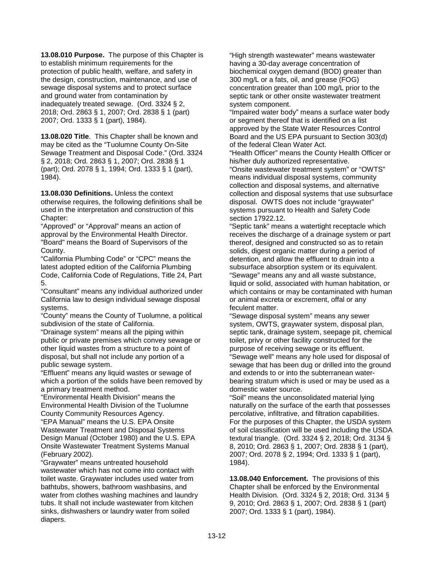**13.08.010 Purpose.** The purpose of this Chapter is to establish minimum requirements for the protection of public health, welfare, and safety in the design, construction, maintenance, and use of sewage disposal systems and to protect surface and ground water from contamination by inadequately treated sewage.(Ord. 3324 § 2, 2018; Ord. 2863 § 1, 2007; Ord. 2838 § 1 (part) 2007; Ord. 1333 § 1 (part), 1984).

**13.08.020 Title**. This Chapter shall be known and may be cited as the "Tuolumne County On-Site Sewage Treatment and Disposal Code." (Ord. 3324 § 2, 2018; Ord. 2863 § 1, 2007; Ord. 2838 § 1 (part); Ord. 2078 § 1, 1994; Ord. 1333 § 1 (part), 1984).

**13.08.030 Definitions.** Unless the context otherwise requires, the following definitions shall be used in the interpretation and construction of this Chapter:

"Approved" or "Approval" means an action of approval by the Environmental Health Director. "Board" means the Board of Supervisors of the County.

"California Plumbing Code" or "CPC" means the latest adopted edition of the California Plumbing Code, California Code of Regulations, Title 24, Part 5.

"Consultant" means any individual authorized under California law to design individual sewage disposal systems.

"County" means the County of Tuolumne, a political subdivision of the state of California.

"Drainage system" means all the piping within public or private premises which convey sewage or other liquid wastes from a structure to a point of disposal, but shall not include any portion of a public sewage system.

"Effluent" means any liquid wastes or sewage of which a portion of the solids have been removed by a primary treatment method.

"Environmental Health Division" means the Environmental Health Division of the Tuolumne County Community Resources Agency.

"EPA Manual" means the U.S. EPA Onsite Wastewater Treatment and Disposal Systems Design Manual (October 1980) and the U.S. EPA Onsite Wastewater Treatment Systems Manual (February 2002).

"Graywater" means untreated household wastewater which has not come into contact with toilet waste. Graywater includes used water from bathtubs, showers, bathroom washbasins, and water from clothes washing machines and laundry tubs. It shall not include wastewater from kitchen sinks, dishwashers or laundry water from soiled diapers.

"High strength wastewater" means wastewater having a 30-day average concentration of biochemical oxygen demand (BOD) greater than 300 mg/L or a fats, oil, and grease (FOG) concentration greater than 100 mg/L prior to the septic tank or other onsite wastewater treatment system component.

"Impaired water body" means a surface water body or segment thereof that is identified on a list approved by the State Water Resources Control Board and the US EPA pursuant to Section 303(d) of the federal Clean Water Act.

"Health Officer" means the County Health Officer or his/her duly authorized representative.

"Onsite wastewater treatment system" or "OWTS" means individual disposal systems, community collection and disposal systems, and alternative collection and disposal systems that use subsurface disposal. OWTS does not include "graywater" systems pursuant to Health and Safety Code section 17922.12.

"Septic tank" means a watertight receptacle which receives the discharge of a drainage system or part thereof, designed and constructed so as to retain solids, digest organic matter during a period of detention, and allow the effluent to drain into a subsurface absorption system or its equivalent. "Sewage" means any and all waste substance, liquid or solid, associated with human habitation, or which contains or may be contaminated with human or animal excreta or excrement, offal or any feculent matter.

"Sewage disposal system" means any sewer system, OWTS, graywater system, disposal plan, septic tank, drainage system, seepage pit, chemical toilet, privy or other facility constructed for the purpose of receiving sewage or its effluent. "Sewage well" means any hole used for disposal of sewage that has been dug or drilled into the ground and extends to or into the subterranean waterbearing stratum which is used or may be used as a domestic water source.

"Soil" means the unconsolidated material lying naturally on the surface of the earth that possesses percolative, infiltrative, and filtration capabilities. For the purposes of this Chapter, the USDA system of soil classification will be used including the USDA textural triangle. (Ord. 3324 § 2, 2018; Ord. 3134 § 8, 2010; Ord. 2863 § 1, 2007; Ord. 2838 § 1 (part), 2007; Ord. 2078 § 2, 1994; Ord. 1333 § 1 (part), 1984).

**13.08.040 Enforcement.** The provisions of this Chapter shall be enforced by the Environmental Health Division. (Ord. 3324 § 2, 2018; Ord. 3134 § 9, 2010; Ord. 2863 § 1, 2007; Ord. 2838 § 1 (part) 2007; Ord. 1333 § 1 (part), 1984).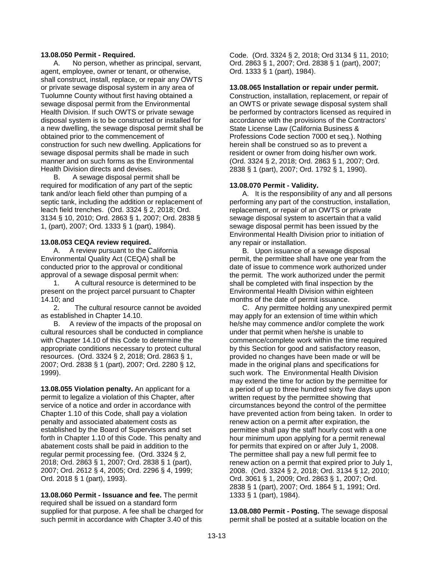## **13.08.050 Permit - Required.**

A. No person, whether as principal, servant, agent, employee, owner or tenant, or otherwise, shall construct, install, replace, or repair any OWTS or private sewage disposal system in any area of Tuolumne County without first having obtained a sewage disposal permit from the Environmental Health Division. If such OWTS or private sewage disposal system is to be constructed or installed for a new dwelling, the sewage disposal permit shall be obtained prior to the commencement of construction for such new dwelling. Applications for sewage disposal permits shall be made in such manner and on such forms as the Environmental Health Division directs and devises.

B. A sewage disposal permit shall be required for modification of any part of the septic tank and/or leach field other than pumping of a septic tank, including the addition or replacement of leach field trenches. (Ord. 3324 § 2, 2018; Ord. 3134 § 10, 2010; Ord. 2863 § 1, 2007; Ord. 2838 § 1, (part), 2007; Ord. 1333 § 1 (part), 1984).

# **13.08.053 CEQA review required.**

A. A review pursuant to the California Environmental Quality Act (CEQA) shall be conducted prior to the approval or conditional approval of a sewage disposal permit when:

1. A cultural resource is determined to be present on the project parcel pursuant to Chapter 14.10; and

2. The cultural resource cannot be avoided as established in Chapter 14.10.

B. A review of the impacts of the proposal on cultural resources shall be conducted in compliance with Chapter 14.10 of this Code to determine the appropriate conditions necessary to protect cultural resources. (Ord. 3324 § 2, 2018; Ord. 2863 § 1, 2007; Ord. 2838 § 1 (part), 2007; Ord. 2280 § 12, 1999).

**13.08.055 Violation penalty.** An applicant for a permit to legalize a violation of this Chapter, after service of a notice and order in accordance with Chapter 1.10 of this Code, shall pay a violation penalty and associated abatement costs as established by the Board of Supervisors and set forth in Chapter 1.10 of this Code. This penalty and abatement costs shall be paid in addition to the regular permit processing fee. (Ord. 3324 § 2, 2018; Ord. 2863 § 1, 2007; Ord. 2838 § 1 (part), 2007; Ord. 2612 § 4, 2005; Ord. 2296 § 4, 1999; Ord. 2018 § 1 (part), 1993).

**13.08.060 Permit - Issuance and fee.** The permit required shall be issued on a standard form supplied for that purpose. A fee shall be charged for such permit in accordance with Chapter 3.40 of this

Code. (Ord. 3324 § 2, 2018; Ord 3134 § 11, 2010; Ord. 2863 § 1, 2007; Ord. 2838 § 1 (part), 2007; Ord. 1333 § 1 (part), 1984).

### **13.08.065 Installation or repair under permit.**

Construction, installation, replacement, or repair of an OWTS or private sewage disposal system shall be performed by contractors licensed as required in accordance with the provisions of the Contractors' State License Law (California Business & Professions Code section 7000 et seq.). Nothing herein shall be construed so as to prevent a resident or owner from doing his/her own work. (Ord. 3324 § 2, 2018; Ord. 2863 § 1, 2007; Ord. 2838 § 1 (part), 2007; Ord. 1792 § 1, 1990).

# **13.08.070 Permit - Validity.**

A. It is the responsibility of any and all persons performing any part of the construction, installation, replacement, or repair of an OWTS or private sewage disposal system to ascertain that a valid sewage disposal permit has been issued by the Environmental Health Division prior to initiation of any repair or installation.

B. Upon issuance of a sewage disposal permit, the permittee shall have one year from the date of issue to commence work authorized under the permit. The work authorized under the permit shall be completed with final inspection by the Environmental Health Division within eighteen months of the date of permit issuance.

C. Any permittee holding any unexpired permit may apply for an extension of time within which he/she may commence and/or complete the work under that permit when he/she is unable to commence/complete work within the time required by this Section for good and satisfactory reason, provided no changes have been made or will be made in the original plans and specifications for such work. The Environmental Health Division may extend the time for action by the permittee for a period of up to three hundred sixty five days upon written request by the permittee showing that circumstances beyond the control of the permittee have prevented action from being taken. In order to renew action on a permit after expiration, the permittee shall pay the staff hourly cost with a one hour minimum upon applying for a permit renewal for permits that expired on or after July 1, 2008. The permittee shall pay a new full permit fee to renew action on a permit that expired prior to July 1, 2008. (Ord. 3324 § 2, 2018; Ord. 3134 § 12, 2010; Ord. 3061 § 1, 2009; Ord. 2863 § 1, 2007; Ord. 2838 § 1 (part), 2007; Ord. 1864 § 1, 1991; Ord. 1333 § 1 (part), 1984).

**13.08.080 Permit - Posting.** The sewage disposal permit shall be posted at a suitable location on the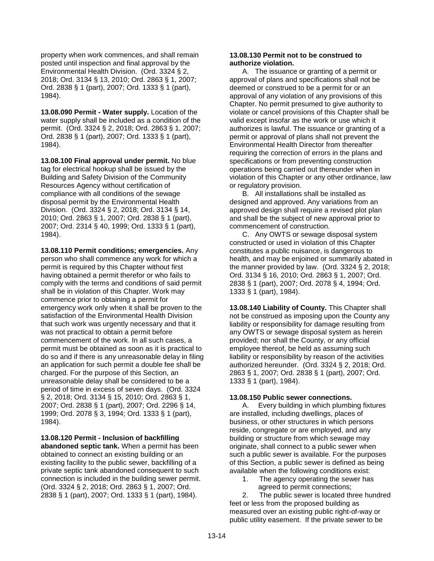property when work commences, and shall remain posted until inspection and final approval by the Environmental Health Division. (Ord. 3324 § 2, 2018; Ord. 3134 § 13, 2010; Ord. 2863 § 1, 2007; Ord. 2838 § 1 (part), 2007; Ord. 1333 § 1 (part), 1984).

**13.08.090 Permit - Water supply.** Location of the water supply shall be included as a condition of the permit.(Ord. 3324 § 2, 2018; Ord. 2863 § 1, 2007; Ord. 2838 § 1 (part), 2007; Ord. 1333 § 1 (part), 1984).

**13.08.100 Final approval under permit.** No blue tag for electrical hookup shall be issued by the Building and Safety Division of the Community Resources Agency without certification of compliance with all conditions of the sewage disposal permit by the Environmental Health Division. (Ord. 3324 § 2, 2018; Ord. 3134 § 14, 2010; Ord. 2863 § 1, 2007; Ord. 2838 § 1 (part), 2007; Ord. 2314 § 40, 1999; Ord. 1333 § 1 (part), 1984).

**13.08.110 Permit conditions; emergencies.** Any person who shall commence any work for which a permit is required by this Chapter without first having obtained a permit therefor or who fails to comply with the terms and conditions of said permit shall be in violation of this Chapter. Work may commence prior to obtaining a permit for emergency work only when it shall be proven to the satisfaction of the Environmental Health Division that such work was urgently necessary and that it was not practical to obtain a permit before commencement of the work. In all such cases, a permit must be obtained as soon as it is practical to do so and if there is any unreasonable delay in filing an application for such permit a double fee shall be charged. For the purpose of this Section, an unreasonable delay shall be considered to be a period of time in excess of seven days. (Ord. 3324 § 2, 2018; Ord. 3134 § 15, 2010; Ord. 2863 § 1, 2007; Ord. 2838 § 1 (part), 2007; Ord. 2296 § 14, 1999; Ord. 2078 § 3, 1994; Ord. 1333 § 1 (part), 1984).

**13.08.120 Permit - Inclusion of backfilling abandoned septic tank.** When a permit has been obtained to connect an existing building or an existing facility to the public sewer, backfilling of a private septic tank abandoned consequent to such connection is included in the building sewer permit. (Ord. 3324 § 2, 2018; Ord. 2863 § 1, 2007; Ord. 2838 § 1 (part), 2007; Ord. 1333 § 1 (part), 1984).

# **13.08.130 Permit not to be construed to authorize violation.**

A. The issuance or granting of a permit or approval of plans and specifications shall not be deemed or construed to be a permit for or an approval of any violation of any provisions of this Chapter. No permit presumed to give authority to violate or cancel provisions of this Chapter shall be valid except insofar as the work or use which it authorizes is lawful. The issuance or granting of a permit or approval of plans shall not prevent the Environmental Health Director from thereafter requiring the correction of errors in the plans and specifications or from preventing construction operations being carried out thereunder when in violation of this Chapter or any other ordinance, law or regulatory provision.

B. All installations shall be installed as designed and approved. Any variations from an approved design shall require a revised plot plan and shall be the subject of new approval prior to commencement of construction.

C. Any OWTS or sewage disposal system constructed or used in violation of this Chapter constitutes a public nuisance, is dangerous to health, and may be enjoined or summarily abated in the manner provided by law. (Ord. 3324 § 2, 2018; Ord. 3134 § 16, 2010; Ord. 2863 § 1, 2007; Ord. 2838 § 1 (part), 2007; Ord. 2078 § 4, 1994; Ord. 1333 § 1 (part), 1984).

**13.08.140 Liability of County.** This Chapter shall not be construed as imposing upon the County any liability or responsibility for damage resulting from any OWTS or sewage disposal system as herein provided; nor shall the County, or any official employee thereof, be held as assuming such liability or responsibility by reason of the activities authorized hereunder. (Ord. 3324 § 2, 2018; Ord. 2863 § 1, 2007; Ord. 2838 § 1 (part), 2007; Ord. 1333 § 1 (part), 1984).

# **13.08.150 Public sewer connections.**

A. Every building in which plumbing fixtures are installed, including dwellings, places of business, or other structures in which persons reside, congregate or are employed, and any building or structure from which sewage may originate, shall connect to a public sewer when such a public sewer is available. For the purposes of this Section, a public sewer is defined as being available when the following conditions exist:

1. The agency operating the sewer has agreed to permit connections;

2. The public sewer is located three hundred feet or less from the proposed building as measured over an existing public right-of-way or public utility easement. If the private sewer to be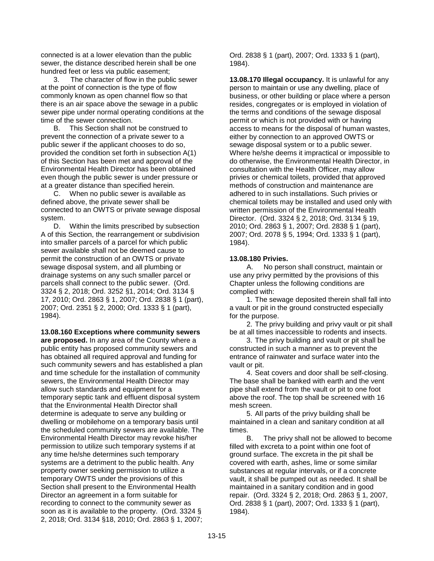connected is at a lower elevation than the public sewer, the distance described herein shall be one hundred feet or less via public easement;

3. The character of flow in the public sewer at the point of connection is the type of flow commonly known as open channel flow so that there is an air space above the sewage in a public sewer pipe under normal operating conditions at the time of the sewer connection.

B. This Section shall not be construed to prevent the connection of a private sewer to a public sewer if the applicant chooses to do so, provided the condition set forth in subsection A(1) of this Section has been met and approval of the Environmental Health Director has been obtained even though the public sewer is under pressure or at a greater distance than specified herein.

C. When no public sewer is available as defined above, the private sewer shall be connected to an OWTS or private sewage disposal system.

D. Within the limits prescribed by subsection A of this Section, the rearrangement or subdivision into smaller parcels of a parcel for which public sewer available shall not be deemed cause to permit the construction of an OWTS or private sewage disposal system, and all plumbing or drainage systems on any such smaller parcel or parcels shall connect to the public sewer. (Ord. 3324 § 2, 2018; Ord. 3252 §1, 2014; Ord. 3134 § 17, 2010; Ord. 2863 § 1, 2007; Ord. 2838 § 1 (part), 2007; Ord. 2351 § 2, 2000; Ord. 1333 § 1 (part), 1984).

**13.08.160 Exceptions where community sewers are proposed.** In any area of the County where a public entity has proposed community sewers and has obtained all required approval and funding for such community sewers and has established a plan and time schedule for the installation of community sewers, the Environmental Health Director may allow such standards and equipment for a temporary septic tank and effluent disposal system that the Environmental Health Director shall determine is adequate to serve any building or dwelling or mobilehome on a temporary basis until the scheduled community sewers are available. The Environmental Health Director may revoke his/her permission to utilize such temporary systems if at any time he/she determines such temporary systems are a detriment to the public health. Any property owner seeking permission to utilize a temporary OWTS under the provisions of this Section shall present to the Environmental Health Director an agreement in a form suitable for recording to connect to the community sewer as soon as it is available to the property. (Ord. 3324 § 2, 2018; Ord. 3134 §18, 2010; Ord. 2863 § 1, 2007;

Ord. 2838 § 1 (part), 2007; Ord. 1333 § 1 (part), 1984).

**13.08.170 Illegal occupancy.** It is unlawful for any person to maintain or use any dwelling, place of business, or other building or place where a person resides, congregates or is employed in violation of the terms and conditions of the sewage disposal permit or which is not provided with or having access to means for the disposal of human wastes, either by connection to an approved OWTS or sewage disposal system or to a public sewer. Where he/she deems it impractical or impossible to do otherwise, the Environmental Health Director, in consultation with the Health Officer, may allow privies or chemical toilets, provided that approved methods of construction and maintenance are adhered to in such installations. Such privies or chemical toilets may be installed and used only with written permission of the Environmental Health Director. (Ord. 3324 § 2, 2018; Ord. 3134 § 19, 2010; Ord. 2863 § 1, 2007; Ord. 2838 § 1 (part), 2007; Ord. 2078 § 5, 1994; Ord. 1333 § 1 (part), 1984).

# **13.08.180 Privies.**

A. No person shall construct, maintain or use any privy permitted by the provisions of this Chapter unless the following conditions are complied with:

1. The sewage deposited therein shall fall into a vault or pit in the ground constructed especially for the purpose.

2. The privy building and privy vault or pit shall be at all times inaccessible to rodents and insects.

3. The privy building and vault or pit shall be constructed in such a manner as to prevent the entrance of rainwater and surface water into the vault or pit.

4. Seat covers and door shall be self-closing. The base shall be banked with earth and the vent pipe shall extend from the vault or pit to one foot above the roof. The top shall be screened with 16 mesh screen.

5. All parts of the privy building shall be maintained in a clean and sanitary condition at all times.

B. The privy shall not be allowed to become filled with excreta to a point within one foot of ground surface. The excreta in the pit shall be covered with earth, ashes, lime or some similar substances at regular intervals, or if a concrete vault, it shall be pumped out as needed. It shall be maintained in a sanitary condition and in good repair. (Ord. 3324 § 2, 2018; Ord. 2863 § 1, 2007, Ord. 2838 § 1 (part), 2007; Ord. 1333 § 1 (part), 1984).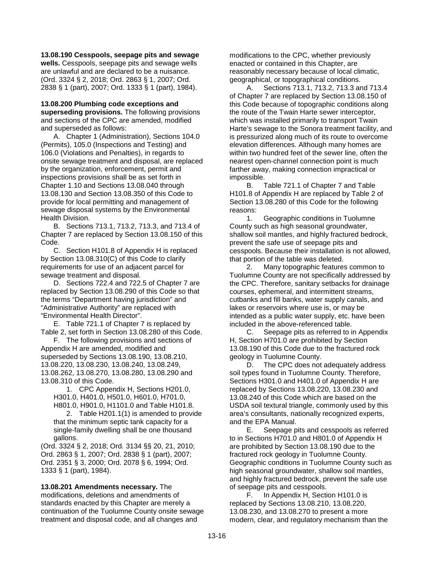**13.08.190 Cesspools, seepage pits and sewage wells.** Cesspools, seepage pits and sewage wells are unlawful and are declared to be a nuisance. (Ord. 3324 § 2, 2018; Ord. 2863 § 1, 2007; Ord. 2838 § 1 (part), 2007; Ord. 1333 § 1 (part), 1984).

## **13.08.200 Plumbing code exceptions and**

**superseding provisions.** The following provisions and sections of the CPC are amended, modified and superseded as follows:

A. Chapter 1 (Administration), Sections 104.0 (Permits), 105.0 (Inspections and Testing) and 106.0 (Violations and Penalties), in regards to onsite sewage treatment and disposal, are replaced by the organization, enforcement, permit and inspections provisions shall be as set forth in Chapter 1.10 and Sections 13.08.040 through 13.08.130 and Section 13.08.350 of this Code to provide for local permitting and management of sewage disposal systems by the Environmental Health Division.

B. Sections 713.1, 713.2, 713.3, and 713.4 of Chapter 7 are replaced by Section 13.08.150 of this Code.

C. Section H101.8 of Appendix H is replaced by Section 13.08.310(C) of this Code to clarify requirements for use of an adjacent parcel for sewage treatment and disposal.

D. Sections 722.4 and 722.5 of Chapter 7 are replaced by Section 13.08.290 of this Code so that the terms "Department having jurisdiction" and "Administrative Authority" are replaced with "Environmental Health Director".

E. Table 721.1 of Chapter 7 is replaced by Table 2, set forth in Section 13.08.280 of this Code.

F. The following provisions and sections of Appendix H are amended, modified and superseded by Sections 13.08.190, 13.08.210, 13.08.220, 13.08.230, 13.08.240, 13.08.249, 13.08.262, 13.08.270, 13.08.280, 13.08.290 and 13.08.310 of this Code.

1. CPC Appendix H, Sections H201.0, H301.0, H401.0, H501.0, H601.0, H701.0, H801.0, H901.0, H1101.0 and Table H101.8.

2. Table H201.1(1) is amended to provide that the minimum septic tank capacity for a single-family dwelling shall be one thousand gallons.

(Ord. 3324 § 2, 2018; Ord. 3134 §§ 20, 21, 2010; Ord. 2863 § 1, 2007; Ord. 2838 § 1 (part), 2007; Ord. 2351 § 3, 2000; Ord. 2078 § 6, 1994; Ord. 1333 § 1 (part), 1984).

**13.08.201 Amendments necessary.** The modifications, deletions and amendments of standards enacted by this Chapter are merely a continuation of the Tuolumne County onsite sewage treatment and disposal code, and all changes and

modifications to the CPC, whether previously enacted or contained in this Chapter, are reasonably necessary because of local climatic, geographical, or topographical conditions.

A. Sections 713.1, 713.2, 713.3 and 713.4 of Chapter 7 are replaced by Section 13.08.150 of this Code because of topographic conditions along the route of the Twain Harte sewer interceptor, which was installed primarily to transport Twain Harte's sewage to the Sonora treatment facility, and is pressurized along much of its route to overcome elevation differences. Although many homes are within two hundred feet of the sewer line, often the nearest open-channel connection point is much farther away, making connection impractical or impossible.

B. Table 721.1 of Chapter 7 and Table H101.8 of Appendix H are replaced by Table 2 of Section 13.08.280 of this Code for the following reasons:

1. Geographic conditions in Tuolumne County such as high seasonal groundwater, shallow soil mantles, and highly fractured bedrock, prevent the safe use of seepage pits and cesspools. Because their installation is not allowed, that portion of the table was deleted.

2. Many topographic features common to Tuolumne County are not specifically addressed by the CPC. Therefore, sanitary setbacks for drainage courses, ephemeral, and intermittent streams, cutbanks and fill banks, water supply canals, and lakes or reservoirs where use is, or may be intended as a public water supply, etc. have been included in the above-referenced table.

C. Seepage pits as referred to in Appendix H, Section H701.0 are prohibited by Section 13.08.190 of this Code due to the fractured rock geology in Tuolumne County.

D. The CPC does not adequately address soil types found in Tuolumne County. Therefore, Sections H301.0 and H401.0 of Appendix H are replaced by Sections 13.08.220, 13.08.230 and 13.08.240 of this Code which are based on the USDA soil textural triangle, commonly used by this area's consultants, nationally recognized experts, and the EPA Manual.

E. Seepage pits and cesspools as referred to in Sections H701.0 and H801.0 of Appendix H are prohibited by Section 13.08.190 due to the fractured rock geology in Tuolumne County. Geographic conditions in Tuolumne County such as high seasonal groundwater, shallow soil mantles, and highly fractured bedrock, prevent the safe use of seepage pits and cesspools.

F. In Appendix H, Section H101.0 is replaced by Sections 13.08.210, 13.08.220, 13.08.230, and 13.08.270 to present a more modern, clear, and regulatory mechanism than the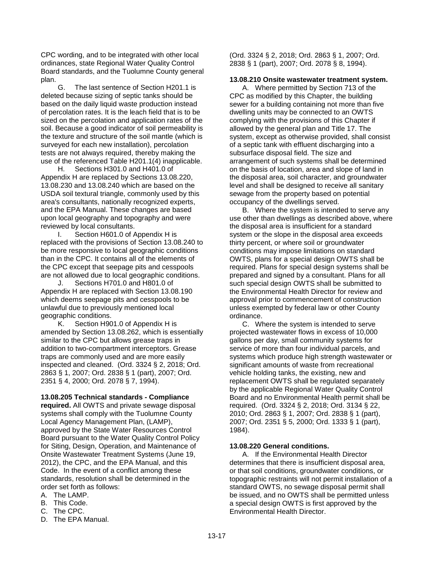CPC wording, and to be integrated with other local ordinances, state Regional Water Quality Control Board standards, and the Tuolumne County general plan.

G. The last sentence of Section H201.1 is deleted because sizing of septic tanks should be based on the daily liquid waste production instead of percolation rates. It is the leach field that is to be sized on the percolation and application rates of the soil. Because a good indicator of soil permeability is the texture and structure of the soil mantle (which is surveyed for each new installation), percolation tests are not always required, thereby making the use of the referenced Table H201.1(4) inapplicable.

H. Sections H301.0 and H401.0 of Appendix H are replaced by Sections 13.08.220, 13.08.230 and 13.08.240 which are based on the USDA soil textural triangle, commonly used by this area's consultants, nationally recognized experts, and the EPA Manual. These changes are based upon local geography and topography and were reviewed by local consultants.

I. Section H601.0 of Appendix H is replaced with the provisions of Section 13.08.240 to be more responsive to local geographic conditions than in the CPC. It contains all of the elements of the CPC except that seepage pits and cesspools are not allowed due to local geographic conditions.

J. Sections H701.0 and H801.0 of Appendix H are replaced with Section 13.08.190 which deems seepage pits and cesspools to be unlawful due to previously mentioned local geographic conditions.

K. Section H901.0 of Appendix H is amended by Section 13.08.262, which is essentially similar to the CPC but allows grease traps in addition to two-compartment interceptors. Grease traps are commonly used and are more easily inspected and cleaned. (Ord. 3324 § 2, 2018; Ord. 2863 § 1, 2007; Ord. 2838 § 1 (part), 2007; Ord. 2351 § 4, 2000; Ord. 2078 § 7, 1994).

### **13.08.205 Technical standards - Compliance**

**required.** All OWTS and private sewage disposal systems shall comply with the Tuolumne County Local Agency Management Plan, (LAMP), approved by the State Water Resources Control Board pursuant to the Water Quality Control Policy for Siting, Design, Operation, and Maintenance of Onsite Wastewater Treatment Systems (June 19, 2012), the CPC, and the EPA Manual, and this Code. In the event of a conflict among these standards, resolution shall be determined in the order set forth as follows:

- A. The LAMP.
- B. This Code.
- C. The CPC.
- D. The EPA Manual.

(Ord. 3324 § 2, 2018; Ord. 2863 § 1, 2007; Ord. 2838 § 1 (part), 2007; Ord. 2078 § 8, 1994).

#### **13.08.210 Onsite wastewater treatment system.**

A. Where permitted by Section 713 of the CPC as modified by this Chapter, the building sewer for a building containing not more than five dwelling units may be connected to an OWTS complying with the provisions of this Chapter if allowed by the general plan and Title 17. The system, except as otherwise provided, shall consist of a septic tank with effluent discharging into a subsurface disposal field. The size and arrangement of such systems shall be determined on the basis of location, area and slope of land in the disposal area, soil character, and groundwater level and shall be designed to receive all sanitary sewage from the property based on potential occupancy of the dwellings served.

B. Where the system is intended to serve any use other than dwellings as described above, where the disposal area is insufficient for a standard system or the slope in the disposal area exceeds thirty percent, or where soil or groundwater conditions may impose limitations on standard OWTS, plans for a special design OWTS shall be required. Plans for special design systems shall be prepared and signed by a consultant. Plans for all such special design OWTS shall be submitted to the Environmental Health Director for review and approval prior to commencement of construction unless exempted by federal law or other County ordinance.

C. Where the system is intended to serve projected wastewater flows in excess of 10,000 gallons per day, small community systems for service of more than four individual parcels, and systems which produce high strength wastewater or significant amounts of waste from recreational vehicle holding tanks, the existing, new and replacement OWTS shall be regulated separately by the applicable Regional Water Quality Control Board and no Environmental Health permit shall be required. (Ord. 3324 § 2, 2018; Ord. 3134 § 22, 2010; Ord. 2863 § 1, 2007; Ord. 2838 § 1 (part), 2007; Ord. 2351 § 5, 2000; Ord. 1333 § 1 (part), 1984).

#### **13.08.220 General conditions.**

A. If the Environmental Health Director determines that there is insufficient disposal area, or that soil conditions, groundwater conditions, or topographic restraints will not permit installation of a standard OWTS, no sewage disposal permit shall be issued, and no OWTS shall be permitted unless a special design OWTS is first approved by the Environmental Health Director.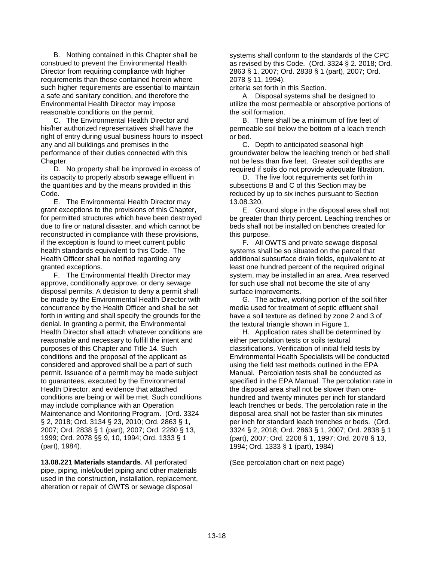B. Nothing contained in this Chapter shall be construed to prevent the Environmental Health Director from requiring compliance with higher requirements than those contained herein where such higher requirements are essential to maintain a safe and sanitary condition, and therefore the Environmental Health Director may impose reasonable conditions on the permit.

C. The Environmental Health Director and his/her authorized representatives shall have the right of entry during usual business hours to inspect any and all buildings and premises in the performance of their duties connected with this Chapter.

D. No property shall be improved in excess of its capacity to properly absorb sewage effluent in the quantities and by the means provided in this Code.

E. The Environmental Health Director may grant exceptions to the provisions of this Chapter, for permitted structures which have been destroyed due to fire or natural disaster, and which cannot be reconstructed in compliance with these provisions, if the exception is found to meet current public health standards equivalent to this Code. The Health Officer shall be notified regarding any granted exceptions.

F. The Environmental Health Director may approve, conditionally approve, or deny sewage disposal permits. A decision to deny a permit shall be made by the Environmental Health Director with concurrence by the Health Officer and shall be set forth in writing and shall specify the grounds for the denial. In granting a permit, the Environmental Health Director shall attach whatever conditions are reasonable and necessary to fulfill the intent and purposes of this Chapter and Title 14. Such conditions and the proposal of the applicant as considered and approved shall be a part of such permit. Issuance of a permit may be made subject to guarantees, executed by the Environmental Health Director, and evidence that attached conditions are being or will be met. Such conditions may include compliance with an Operation Maintenance and Monitoring Program. (Ord. 3324 § 2, 2018; Ord. 3134 § 23, 2010; Ord. 2863 § 1, 2007; Ord. 2838 § 1 (part), 2007; Ord. 2280 § 13, 1999; Ord. 2078 §§ 9, 10, 1994; Ord. 1333 § 1 (part), 1984).

**13.08.221 Materials standards**. All perforated pipe, piping, inlet/outlet piping and other materials used in the construction, installation, replacement, alteration or repair of OWTS or sewage disposal

systems shall conform to the standards of the CPC as revised by this Code. (Ord. 3324 § 2. 2018; Ord. 2863 § 1, 2007; Ord. 2838 § 1 (part), 2007; Ord. 2078 § 11, 1994).

criteria set forth in this Section.

A. Disposal systems shall be designed to utilize the most permeable or absorptive portions of the soil formation.

B. There shall be a minimum of five feet of permeable soil below the bottom of a leach trench or bed.

C. Depth to anticipated seasonal high groundwater below the leaching trench or bed shall not be less than five feet. Greater soil depths are required if soils do not provide adequate filtration.

D. The five foot requirements set forth in subsections B and C of this Section may be reduced by up to six inches pursuant to Section 13.08.320.

E. Ground slope in the disposal area shall not be greater than thirty percent. Leaching trenches or beds shall not be installed on benches created for this purpose.

F. All OWTS and private sewage disposal systems shall be so situated on the parcel that additional subsurface drain fields, equivalent to at least one hundred percent of the required original system, may be installed in an area. Area reserved for such use shall not become the site of any surface improvements.

G. The active, working portion of the soil filter media used for treatment of septic effluent shall have a soil texture as defined by zone 2 and 3 of the textural triangle shown in Figure 1.

H. Application rates shall be determined by either percolation tests or soils textural classifications. Verification of initial field tests by Environmental Health Specialists will be conducted using the field test methods outlined in the EPA Manual. Percolation tests shall be conducted as specified in the EPA Manual. The percolation rate in the disposal area shall not be slower than onehundred and twenty minutes per inch for standard leach trenches or beds. The percolation rate in the disposal area shall not be faster than six minutes per inch for standard leach trenches or beds. (Ord. 3324 § 2, 2018; Ord. 2863 § 1, 2007; Ord. 2838 § 1 (part), 2007; Ord. 2208 § 1, 1997; Ord. 2078 § 13, 1994; Ord. 1333 § 1 (part), 1984)

(See percolation chart on next page)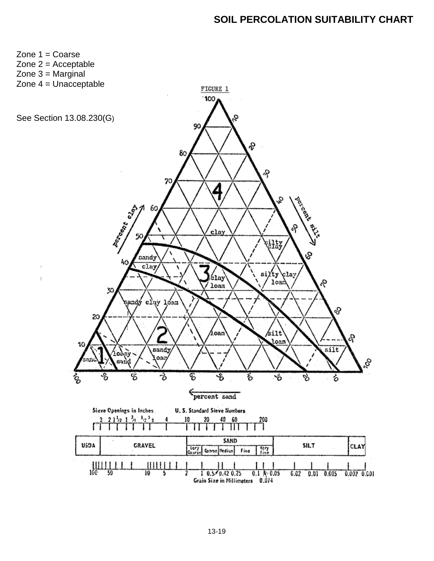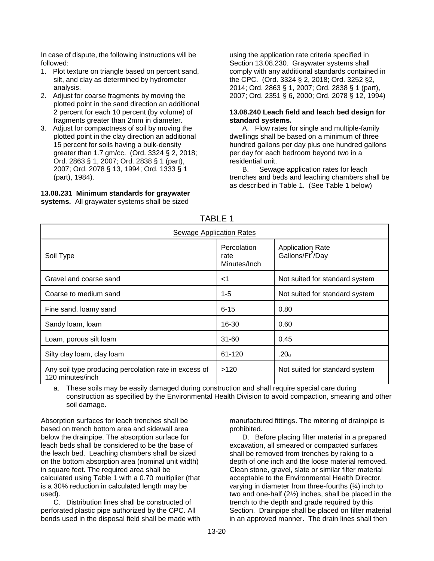In case of dispute, the following instructions will be followed:

- 1. Plot texture on triangle based on percent sand, silt, and clay as determined by hydrometer analysis.
- 2. Adjust for coarse fragments by moving the plotted point in the sand direction an additional 2 percent for each 10 percent (by volume) of fragments greater than 2mm in diameter.
- 3. Adjust for compactness of soil by moving the plotted point in the clay direction an additional 15 percent for soils having a bulk-density greater than 1.7 gm/cc. (Ord. 3324 § 2, 2018; Ord. 2863 § 1, 2007; Ord. 2838 § 1 (part), 2007; Ord. 2078 § 13, 1994; Ord. 1333 § 1 (part), 1984).

**13.08.231 Minimum standards for graywater systems.** All graywater systems shall be sized using the application rate criteria specified in Section 13.08.230. Graywater systems shall comply with any additional standards contained in the CPC. (Ord. 3324 § 2, 2018; Ord. 3252 §2, 2014; Ord. 2863 § 1, 2007; Ord. 2838 § 1 (part), 2007; Ord. 2351 § 6, 2000; Ord. 2078 § 12, 1994)

# **13.08.240 Leach field and leach bed design for standard systems.**

A. Flow rates for single and multiple-family dwellings shall be based on a minimum of three hundred gallons per day plus one hundred gallons per day for each bedroom beyond two in a residential unit.

B. Sewage application rates for leach trenches and beds and leaching chambers shall be as described in Table 1. (See Table 1 below)

| Sewage Application Rates                                                  |                                     |                                                         |  |  |
|---------------------------------------------------------------------------|-------------------------------------|---------------------------------------------------------|--|--|
| Soil Type                                                                 | Percolation<br>rate<br>Minutes/Inch | <b>Application Rate</b><br>Gallons/Ft <sup>2</sup> /Day |  |  |
| Gravel and coarse sand                                                    | $<$ 1                               | Not suited for standard system                          |  |  |
| Coarse to medium sand                                                     | 1-5                                 | Not suited for standard system                          |  |  |
| Fine sand, loamy sand                                                     | $6 - 15$                            | 0.80                                                    |  |  |
| Sandy Ioam, Ioam                                                          | 16-30                               | 0.60                                                    |  |  |
| Loam, porous silt loam                                                    | $31 - 60$                           | 0.45                                                    |  |  |
| Silty clay loam, clay loam                                                | 61-120                              | .20a                                                    |  |  |
| Any soil type producing percolation rate in excess of<br>120 minutes/inch | >120                                | Not suited for standard system                          |  |  |

TABLE 1

a. These soils may be easily damaged during construction and shall require special care during construction as specified by the Environmental Health Division to avoid compaction, smearing and other soil damage.

Absorption surfaces for leach trenches shall be based on trench bottom area and sidewall area below the drainpipe. The absorption surface for leach beds shall be considered to be the base of the leach bed. Leaching chambers shall be sized on the bottom absorption area (nominal unit width) in square feet. The required area shall be calculated using Table 1 with a 0.70 multiplier (that is a 30% reduction in calculated length may be used).

C. Distribution lines shall be constructed of perforated plastic pipe authorized by the CPC. All bends used in the disposal field shall be made with

manufactured fittings. The mitering of drainpipe is prohibited.

D. Before placing filter material in a prepared excavation, all smeared or compacted surfaces shall be removed from trenches by raking to a depth of one inch and the loose material removed. Clean stone, gravel, slate or similar filter material acceptable to the Environmental Health Director, varying in diameter from three-fourths (¾) inch to two and one-half (2½) inches, shall be placed in the trench to the depth and grade required by this Section. Drainpipe shall be placed on filter material in an approved manner. The drain lines shall then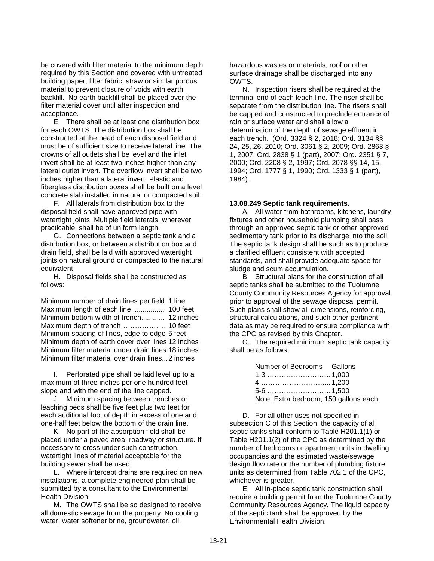be covered with filter material to the minimum depth required by this Section and covered with untreated building paper, filter fabric, straw or similar porous material to prevent closure of voids with earth backfill. No earth backfill shall be placed over the filter material cover until after inspection and acceptance.

E. There shall be at least one distribution box for each OWTS. The distribution box shall be constructed at the head of each disposal field and must be of sufficient size to receive lateral line. The crowns of all outlets shall be level and the inlet invert shall be at least two inches higher than any lateral outlet invert. The overflow invert shall be two inches higher than a lateral invert. Plastic and fiberglass distribution boxes shall be built on a level concrete slab installed in natural or compacted soil.

F. All laterals from distribution box to the disposal field shall have approved pipe with watertight joints. Multiple field laterals, wherever practicable, shall be of uniform length.

G. Connections between a septic tank and a distribution box, or between a distribution box and drain field, shall be laid with approved watertight joints on natural ground or compacted to the natural equivalent.

H. Disposal fields shall be constructed as follows:

Minimum number of drain lines per field 1 line Maximum length of each line ................ 100 feet Minimum bottom width of trench............ 12 inches Maximum depth of trench……………..... 10 feet Minimum spacing of lines, edge to edge 5 feet Minimum depth of earth cover over lines 12 inches Minimum filter material under drain lines 18 inches Minimum filter material over drain lines...2 inches

I. Perforated pipe shall be laid level up to a maximum of three inches per one hundred feet slope and with the end of the line capped.

J. Minimum spacing between trenches or leaching beds shall be five feet plus two feet for each additional foot of depth in excess of one and one-half feet below the bottom of the drain line.

K. No part of the absorption field shall be placed under a paved area, roadway or structure. If necessary to cross under such construction, watertight lines of material acceptable for the building sewer shall be used.

L. Where intercept drains are required on new installations, a complete engineered plan shall be submitted by a consultant to the Environmental Health Division.

M. The OWTS shall be so designed to receive all domestic sewage from the property. No cooling water, water softener brine, groundwater, oil,

hazardous wastes or materials, roof or other surface drainage shall be discharged into any OWTS.

N. Inspection risers shall be required at the terminal end of each leach line. The riser shall be separate from the distribution line. The risers shall be capped and constructed to preclude entrance of rain or surface water and shall allow a determination of the depth of sewage effluent in each trench. (Ord. 3324 § 2, 2018; Ord. 3134 §§ 24, 25, 26, 2010; Ord. 3061 § 2, 2009; Ord. 2863 § 1, 2007; Ord. 2838 § 1 (part), 2007; Ord. 2351 § 7, 2000; Ord. 2208 § 2, 1997; Ord. 2078 §§ 14, 15, 1994; Ord. 1777 § 1, 1990; Ord. 1333 § 1 (part), 1984).

### **13.08.249 Septic tank requirements.**

A. All water from bathrooms, kitchens, laundry fixtures and other household plumbing shall pass through an approved septic tank or other approved sedimentary tank prior to its discharge into the soil. The septic tank design shall be such as to produce a clarified effluent consistent with accepted standards, and shall provide adequate space for sludge and scum accumulation.

B. Structural plans for the construction of all septic tanks shall be submitted to the Tuolumne County Community Resources Agency for approval prior to approval of the sewage disposal permit. Such plans shall show all dimensions, reinforcing, structural calculations, and such other pertinent data as may be required to ensure compliance with the CPC as revised by this Chapter.

C. The required minimum septic tank capacity shall be as follows:

| Number of Bedrooms Gallons             |  |
|----------------------------------------|--|
|                                        |  |
|                                        |  |
|                                        |  |
| Note: Extra bedroom, 150 gallons each. |  |

D. For all other uses not specified in subsection C of this Section, the capacity of all septic tanks shall conform to Table H201.1(1) or Table H201.1(2) of the CPC as determined by the number of bedrooms or apartment units in dwelling occupancies and the estimated waste/sewage design flow rate or the number of plumbing fixture units as determined from Table 702.1 of the CPC, whichever is greater.

E. All in-place septic tank construction shall require a building permit from the Tuolumne County Community Resources Agency. The liquid capacity of the septic tank shall be approved by the Environmental Health Division.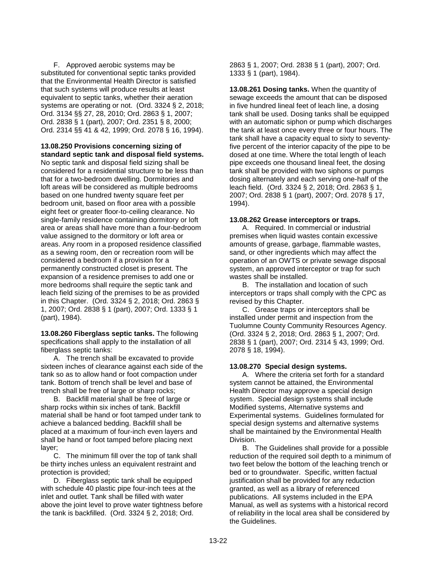F. Approved aerobic systems may be substituted for conventional septic tanks provided that the Environmental Health Director is satisfied that such systems will produce results at least equivalent to septic tanks, whether their aeration systems are operating or not. (Ord. 3324 § 2, 2018; Ord. 3134 §§ 27, 28, 2010; Ord. 2863 § 1, 2007; Ord. 2838 § 1 (part), 2007; Ord. 2351 § 8, 2000; Ord. 2314 §§ 41 & 42, 1999; Ord. 2078 § 16, 1994).

**13.08.250 Provisions concerning sizing of standard septic tank and disposal field systems.** 

No septic tank and disposal field sizing shall be considered for a residential structure to be less than that for a two-bedroom dwelling. Dormitories and loft areas will be considered as multiple bedrooms based on one hundred twenty square feet per bedroom unit, based on floor area with a possible eight feet or greater floor-to-ceiling clearance. No single-family residence containing dormitory or loft area or areas shall have more than a four-bedroom value assigned to the dormitory or loft area or areas. Any room in a proposed residence classified as a sewing room, den or recreation room will be considered a bedroom if a provision for a permanently constructed closet is present. The expansion of a residence premises to add one or more bedrooms shall require the septic tank and leach field sizing of the premises to be as provided in this Chapter. (Ord. 3324 § 2, 2018; Ord. 2863 § 1, 2007; Ord. 2838 § 1 (part), 2007; Ord. 1333 § 1 (part), 1984).

**13.08.260 Fiberglass septic tanks.** The following specifications shall apply to the installation of all fiberglass septic tanks:

A. The trench shall be excavated to provide sixteen inches of clearance against each side of the tank so as to allow hand or foot compaction under tank. Bottom of trench shall be level and base of trench shall be free of large or sharp rocks;

B. Backfill material shall be free of large or sharp rocks within six inches of tank. Backfill material shall be hand or foot tamped under tank to achieve a balanced bedding. Backfill shall be placed at a maximum of four-inch even layers and shall be hand or foot tamped before placing next layer;

C. The minimum fill over the top of tank shall be thirty inches unless an equivalent restraint and protection is provided;

D. Fiberglass septic tank shall be equipped with schedule 40 plastic pipe four-inch tees at the inlet and outlet. Tank shall be filled with water above the joint level to prove water tightness before the tank is backfilled. (Ord. 3324 § 2, 2018; Ord.

2863 § 1, 2007; Ord. 2838 § 1 (part), 2007; Ord. 1333 § 1 (part), 1984).

**13.08.261 Dosing tanks.** When the quantity of sewage exceeds the amount that can be disposed in five hundred lineal feet of leach line, a dosing tank shall be used. Dosing tanks shall be equipped with an automatic siphon or pump which discharges the tank at least once every three or four hours. The tank shall have a capacity equal to sixty to seventyfive percent of the interior capacity of the pipe to be dosed at one time. Where the total length of leach pipe exceeds one thousand lineal feet, the dosing tank shall be provided with two siphons or pumps dosing alternately and each serving one-half of the leach field. (Ord. 3324 § 2, 2018; Ord. 2863 § 1, 2007; Ord. 2838 § 1 (part), 2007; Ord. 2078 § 17, 1994).

### **13.08.262 Grease interceptors or traps.**

A. Required. In commercial or industrial premises when liquid wastes contain excessive amounts of grease, garbage, flammable wastes, sand, or other ingredients which may affect the operation of an OWTS or private sewage disposal system, an approved interceptor or trap for such wastes shall be installed.

B. The installation and location of such interceptors or traps shall comply with the CPC as revised by this Chapter.

C. Grease traps or interceptors shall be installed under permit and inspection from the Tuolumne County Community Resources Agency. (Ord. 3324 § 2, 2018; Ord. 2863 § 1, 2007; Ord. 2838 § 1 (part), 2007; Ord. 2314 § 43, 1999; Ord. 2078 § 18, 1994).

### **13.08.270 Special design systems.**

A. Where the criteria set forth for a standard system cannot be attained, the Environmental Health Director may approve a special design system. Special design systems shall include Modified systems, Alternative systems and Experimental systems. Guidelines formulated for special design systems and alternative systems shall be maintained by the Environmental Health Division.

B. The Guidelines shall provide for a possible reduction of the required soil depth to a minimum of two feet below the bottom of the leaching trench or bed or to groundwater. Specific, written factual justification shall be provided for any reduction granted, as well as a library of referenced publications. All systems included in the EPA Manual, as well as systems with a historical record of reliability in the local area shall be considered by the Guidelines.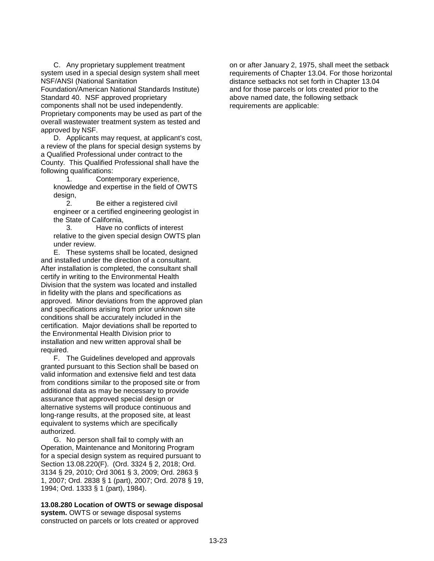C. Any proprietary supplement treatment system used in a special design system shall meet NSF/ANSI (National Sanitation

Foundation/American National Standards Institute) Standard 40. NSF approved proprietary

components shall not be used independently. Proprietary components may be used as part of the overall wastewater treatment system as tested and approved by NSF.

D. Applicants may request, at applicant's cost, a review of the plans for special design systems by a Qualified Professional under contract to the County. This Qualified Professional shall have the following qualifications:

1. Contemporary experience, knowledge and expertise in the field of OWTS design,

2. Be either a registered civil engineer or a certified engineering geologist in the State of California,

3. Have no conflicts of interest relative to the given special design OWTS plan under review.

E. These systems shall be located, designed and installed under the direction of a consultant. After installation is completed, the consultant shall certify in writing to the Environmental Health Division that the system was located and installed in fidelity with the plans and specifications as approved. Minor deviations from the approved plan and specifications arising from prior unknown site conditions shall be accurately included in the certification. Major deviations shall be reported to the Environmental Health Division prior to installation and new written approval shall be required.

F. The Guidelines developed and approvals granted pursuant to this Section shall be based on valid information and extensive field and test data from conditions similar to the proposed site or from additional data as may be necessary to provide assurance that approved special design or alternative systems will produce continuous and long-range results, at the proposed site, at least equivalent to systems which are specifically authorized.

G. No person shall fail to comply with an Operation, Maintenance and Monitoring Program for a special design system as required pursuant to Section 13.08.220(F). (Ord. 3324 § 2, 2018; Ord. 3134 § 29, 2010; Ord 3061 § 3, 2009; Ord. 2863 § 1, 2007; Ord. 2838 § 1 (part), 2007; Ord. 2078 § 19, 1994; Ord. 1333 § 1 (part), 1984).

**13.08.280 Location of OWTS or sewage disposal system.** OWTS or sewage disposal systems constructed on parcels or lots created or approved

on or after January 2, 1975, shall meet the setback requirements of Chapter 13.04. For those horizontal distance setbacks not set forth in Chapter 13.04 and for those parcels or lots created prior to the above named date, the following setback requirements are applicable: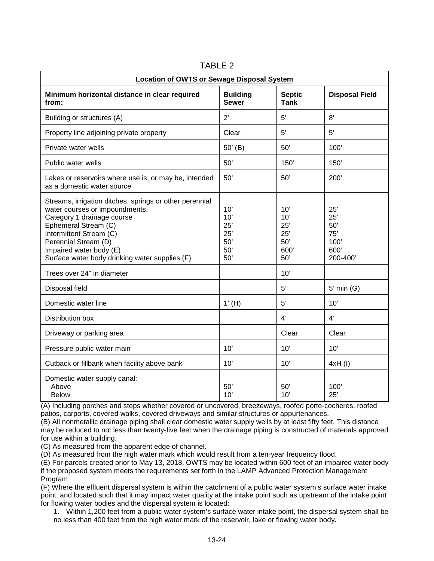| <b>Location of OWTS or Sewage Disposal System</b>                                                                                                                                                                                                                               |                                               |                                                |                                                      |  |  |
|---------------------------------------------------------------------------------------------------------------------------------------------------------------------------------------------------------------------------------------------------------------------------------|-----------------------------------------------|------------------------------------------------|------------------------------------------------------|--|--|
| Minimum horizontal distance in clear required<br>from:                                                                                                                                                                                                                          | <b>Building</b><br><b>Sewer</b>               | <b>Septic</b><br><b>Tank</b>                   | <b>Disposal Field</b>                                |  |  |
| Building or structures (A)                                                                                                                                                                                                                                                      | 2'                                            | 5'                                             | 8'                                                   |  |  |
| Property line adjoining private property                                                                                                                                                                                                                                        | Clear                                         | 5'                                             | 5'                                                   |  |  |
| Private water wells                                                                                                                                                                                                                                                             | $50'$ (B)                                     | 50'                                            | 100'                                                 |  |  |
| Public water wells                                                                                                                                                                                                                                                              | 50'                                           | 150'                                           | 150'                                                 |  |  |
| Lakes or reservoirs where use is, or may be, intended<br>as a domestic water source                                                                                                                                                                                             | 50'                                           | 50'                                            | 200'                                                 |  |  |
| Streams, irrigation ditches, springs or other perennial<br>water courses or impoundments.<br>Category 1 drainage course<br>Ephemeral Stream (C)<br>Intermittent Stream (C)<br>Perennial Stream (D)<br>Impaired water body (E)<br>Surface water body drinking water supplies (F) | 10'<br>10'<br>25'<br>25'<br>50'<br>50'<br>50' | 10'<br>10'<br>25'<br>25'<br>50'<br>600'<br>50' | 25'<br>25'<br>50'<br>75'<br>100'<br>600'<br>200-400' |  |  |
| Trees over 24" in diameter                                                                                                                                                                                                                                                      |                                               | 10'                                            |                                                      |  |  |
| Disposal field                                                                                                                                                                                                                                                                  |                                               | 5'                                             | $5'$ min $(G)$                                       |  |  |
| Domestic water line                                                                                                                                                                                                                                                             | $1'$ (H)                                      | 5'                                             | 10'                                                  |  |  |
| Distribution box                                                                                                                                                                                                                                                                |                                               | 4'                                             | 4'                                                   |  |  |
| Driveway or parking area                                                                                                                                                                                                                                                        |                                               | Clear                                          | Clear                                                |  |  |
| Pressure public water main                                                                                                                                                                                                                                                      | 10'                                           | 10'                                            | 10'                                                  |  |  |
| Cutback or fillbank when facility above bank                                                                                                                                                                                                                                    | 10'                                           | 10'                                            | 4xH (I)                                              |  |  |
| Domestic water supply canal:<br>Above<br><b>Below</b>                                                                                                                                                                                                                           | 50'<br>10'                                    | 50'<br>10'                                     | 100'<br>25'                                          |  |  |

TARI F 2

(A) Including porches and steps whether covered or uncovered, breezeways, roofed porte-cocheres, roofed patios, carports, covered walks, covered driveways and similar structures or appurtenances.

(B) All nonmetallic drainage piping shall clear domestic water supply wells by at least fifty feet. This distance may be reduced to not less than twenty-five feet when the drainage piping is constructed of materials approved for use within a building.

(C) As measured from the apparent edge of channel.

(D) As measured from the high water mark which would result from a ten-year frequency flood.

(E) For parcels created prior to May 13, 2018, OWTS may be located within 600 feet of an impaired water body if the proposed system meets the requirements set forth in the LAMP Advanced Protection Management Program.

(F) Where the effluent dispersal system is within the catchment of a public water system's surface water intake point, and located such that it may impact water quality at the intake point such as upstream of the intake point for flowing water bodies and the dispersal system is located:

1. Within 1,200 feet from a public water system's surface water intake point, the dispersal system shall be no less than 400 feet from the high water mark of the reservoir, lake or flowing water body.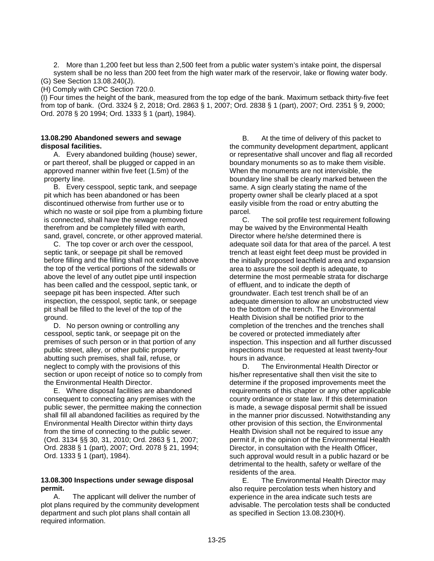2. More than 1,200 feet but less than 2,500 feet from a public water system's intake point, the dispersal system shall be no less than 200 feet from the high water mark of the reservoir, lake or flowing water body. (G) See Section 13.08.240(J).

(H) Comply with CPC Section 720.0.

(I) Four times the height of the bank, measured from the top edge of the bank. Maximum setback thirty-five feet from top of bank. (Ord. 3324 § 2, 2018; Ord. 2863 § 1, 2007; Ord. 2838 § 1 (part), 2007; Ord. 2351 § 9, 2000; Ord. 2078 § 20 1994; Ord. 1333 § 1 (part), 1984).

### **13.08.290 Abandoned sewers and sewage disposal facilities.**

A. Every abandoned building (house) sewer, or part thereof, shall be plugged or capped in an approved manner within five feet (1.5m) of the property line.

B. Every cesspool, septic tank, and seepage pit which has been abandoned or has been discontinued otherwise from further use or to which no waste or soil pipe from a plumbing fixture is connected, shall have the sewage removed therefrom and be completely filled with earth, sand, gravel, concrete, or other approved material.

C. The top cover or arch over the cesspool, septic tank, or seepage pit shall be removed before filling and the filling shall not extend above the top of the vertical portions of the sidewalls or above the level of any outlet pipe until inspection has been called and the cesspool, septic tank, or seepage pit has been inspected. After such inspection, the cesspool, septic tank, or seepage pit shall be filled to the level of the top of the ground.

D. No person owning or controlling any cesspool, septic tank, or seepage pit on the premises of such person or in that portion of any public street, alley, or other public property abutting such premises, shall fail, refuse, or neglect to comply with the provisions of this section or upon receipt of notice so to comply from the Environmental Health Director.

E. Where disposal facilities are abandoned consequent to connecting any premises with the public sewer, the permittee making the connection shall fill all abandoned facilities as required by the Environmental Health Director within thirty days from the time of connecting to the public sewer. (Ord. 3134 §§ 30, 31, 2010; Ord. 2863 § 1, 2007; Ord. 2838 § 1 (part), 2007; Ord. 2078 § 21, 1994; Ord. 1333 § 1 (part), 1984).

# **13.08.300 Inspections under sewage disposal permit.**

A. The applicant will deliver the number of plot plans required by the community development department and such plot plans shall contain all required information.

B. At the time of delivery of this packet to the community development department, applicant or representative shall uncover and flag all recorded boundary monuments so as to make them visible. When the monuments are not intervisible, the boundary line shall be clearly marked between the same. A sign clearly stating the name of the property owner shall be clearly placed at a spot easily visible from the road or entry abutting the parcel.

C. The soil profile test requirement following may be waived by the Environmental Health Director where he/she determined there is adequate soil data for that area of the parcel. A test trench at least eight feet deep must be provided in the initially proposed leachfield area and expansion area to assure the soil depth is adequate, to determine the most permeable strata for discharge of effluent, and to indicate the depth of groundwater. Each test trench shall be of an adequate dimension to allow an unobstructed view to the bottom of the trench. The Environmental Health Division shall be notified prior to the completion of the trenches and the trenches shall be covered or protected immediately after inspection. This inspection and all further discussed inspections must be requested at least twenty-four hours in advance.

D. The Environmental Health Director or his/her representative shall then visit the site to determine if the proposed improvements meet the requirements of this chapter or any other applicable county ordinance or state law. If this determination is made, a sewage disposal permit shall be issued in the manner prior discussed. Notwithstanding any other provision of this section, the Environmental Health Division shall not be required to issue any permit if, in the opinion of the Environmental Health Director, in consultation with the Health Officer, such approval would result in a public hazard or be detrimental to the health, safety or welfare of the residents of the area.

E. The Environmental Health Director may also require percolation tests when history and experience in the area indicate such tests are advisable. The percolation tests shall be conducted as specified in Section 13.08.230(H).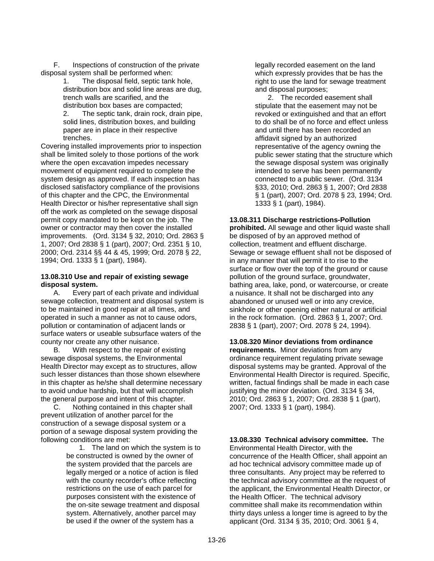F. Inspections of construction of the private disposal system shall be performed when:

1. The disposal field, septic tank hole, distribution box and solid line areas are dug, trench walls are scarified, and the distribution box bases are compacted;

2. The septic tank, drain rock, drain pipe, solid lines, distribution boxes, and building paper are in place in their respective trenches.

Covering installed improvements prior to inspection shall be limited solely to those portions of the work where the open excavation impedes necessary movement of equipment required to complete the system design as approved. If each inspection has disclosed satisfactory compliance of the provisions of this chapter and the CPC, the Environmental Health Director or his/her representative shall sign off the work as completed on the sewage disposal permit copy mandated to be kept on the job. The owner or contractor may then cover the installed improvements. (Ord. 3134 § 32, 2010; Ord. 2863 § 1, 2007; Ord 2838 § 1 (part), 2007; Ord. 2351 § 10, 2000; Ord. 2314 §§ 44 & 45, 1999; Ord. 2078 § 22, 1994; Ord. 1333 § 1 (part), 1984).

# **13.08.310 Use and repair of existing sewage disposal system.**

A. Every part of each private and individual sewage collection, treatment and disposal system is to be maintained in good repair at all times, and operated in such a manner as not to cause odors, pollution or contamination of adjacent lands or surface waters or useable subsurface waters of the county nor create any other nuisance.

B. With respect to the repair of existing sewage disposal systems, the Environmental Health Director may except as to structures, allow such lesser distances than those shown elsewhere in this chapter as he/she shall determine necessary to avoid undue hardship, but that will accomplish the general purpose and intent of this chapter.

C. Nothing contained in this chapter shall prevent utilization of another parcel for the construction of a sewage disposal system or a portion of a sewage disposal system providing the following conditions are met:

> 1. The land on which the system is to be constructed is owned by the owner of the system provided that the parcels are legally merged or a notice of action is filed with the county recorder's office reflecting restrictions on the use of each parcel for purposes consistent with the existence of the on-site sewage treatment and disposal system. Alternatively, another parcel may be used if the owner of the system has a

legally recorded easement on the land which expressly provides that be has the right to use the land for sewage treatment and disposal purposes;

2. The recorded easement shall stipulate that the easement may not be revoked or extinguished and that an effort to do shall be of no force and effect unless and until there has been recorded an affidavit signed by an authorized representative of the agency owning the public sewer stating that the structure which the sewage disposal system was originally intended to serve has been permanently connected to a public sewer. (Ord. 3134 §33, 2010; Ord. 2863 § 1, 2007; Ord 2838 § 1 (part), 2007; Ord. 2078 § 23, 1994; Ord. 1333 § 1 (part), 1984).

# **13.08.311 Discharge restrictions-Pollution**

**prohibited.** All sewage and other liquid waste shall be disposed of by an approved method of collection, treatment and effluent discharge. Sewage or sewage effluent shall not be disposed of in any manner that will permit it to rise to the surface or flow over the top of the ground or cause pollution of the ground surface, groundwater, bathing area, lake, pond, or watercourse, or create a nuisance. It shall not be discharged into any abandoned or unused well or into any crevice, sinkhole or other opening either natural or artificial in the rock formation. (Ord. 2863 § 1, 2007; Ord. 2838 § 1 (part), 2007; Ord. 2078 § 24, 1994).

# **13.08.320 Minor deviations from ordinance**

**requirements.** Minor deviations from any ordinance requirement regulating private sewage disposal systems may be granted. Approval of the Environmental Health Director is required. Specific, written, factual findings shall be made in each case justifying the minor deviation. (Ord. 3134 § 34, 2010; Ord. 2863 § 1, 2007; Ord. 2838 § 1 (part), 2007; Ord. 1333 § 1 (part), 1984).

**13.08.330 Technical advisory committee.** The Environmental Health Director, with the concurrence of the Health Officer, shall appoint an ad hoc technical advisory committee made up of three consultants. Any project may be referred to the technical advisory committee at the request of the applicant, the Environmental Health Director, or the Health Officer. The technical advisory committee shall make its recommendation within thirty days unless a longer time is agreed to by the applicant (Ord. 3134 § 35, 2010; Ord. 3061 § 4,